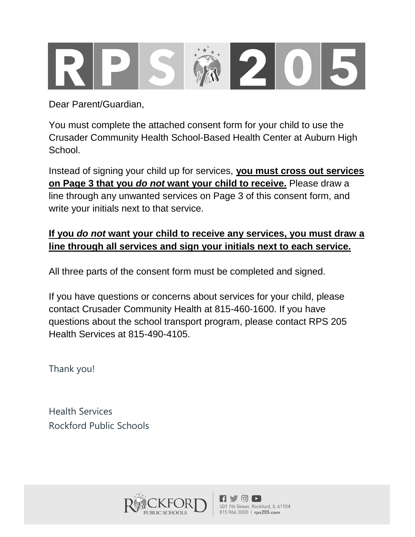

Dear Parent/Guardian,

You must complete the attached consent form for your child to use the Crusader Community Health School-Based Health Center at Auburn High **School** 

Instead of signing your child up for services, **you must cross out services on Page 3 that you** *do not* **want your child to receive.** Please draw a line through any unwanted services on Page 3 of this consent form, and write your initials next to that service.

## **If you** *do not* **want your child to receive any services, you must draw a line through all services and sign your initials next to each service.**

All three parts of the consent form must be completed and signed.

If you have questions or concerns about services for your child, please contact Crusader Community Health at 815-460-1600. If you have questions about the school transport program, please contact RPS 205 Health Services at 815-490-4105.

Thank you!

Health Services Rockford Public Schools

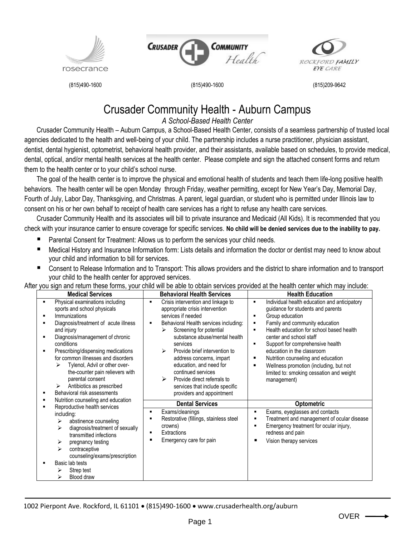





(815)490-1600 (815)490-1600 (815)209-9642

# Crusader Community Health - Auburn Campus

*A School-Based Health Center*

Crusader Community Health – Auburn Campus, a School-Based Health Center, consists of a seamless partnership of trusted local agencies dedicated to the health and well-being of your child. The partnership includes a nurse practitioner, physician assistant, dentist, dental hygienist, optometrist, behavioral health provider, and their assistants, available based on schedules, to provide medical, dental, optical, and/or mental health services at the health center. Please complete and sign the attached consent forms and return them to the health center or to your child's school nurse.

The goal of the health center is to improve the physical and emotional health of students and teach them life-long positive health behaviors. The health center will be open Monday through Friday, weather permitting, except for New Year's Day, Memorial Day, Fourth of July, Labor Day, Thanksgiving, and Christmas. A parent, legal guardian, or student who is permitted under Illinois law to consent on his or her own behalf to receipt of health care services has a right to refuse any health care services.

Crusader Community Health and its associates will bill to private insurance and Medicaid (All Kids). It is recommended that you check with your insurance carrier to ensure coverage for specific services. **No child will be denied services due to the inability to pay.**

- Parental Consent for Treatment: Allows us to perform the services your child needs.
- Medical History and Insurance Information form: Lists details and information the doctor or dentist may need to know about your child and information to bill for services.
- Consent to Release Information and to Transport: This allows providers and the district to share information and to transport your child to the health center for approved services.

After you sign and return these forms, your child will be able to obtain services provided at the health center which may include:

| <b>Medical Services</b>                                                                                                                                                                                                                                                                                                                                                                                                                                                | <b>Behavioral Health Services</b>                                                                                                                                                                                                                                                                                                                                                                                                                           | <b>Health Education</b>                                                                                                                                                                                                                                                                                                                                                                                                                             |
|------------------------------------------------------------------------------------------------------------------------------------------------------------------------------------------------------------------------------------------------------------------------------------------------------------------------------------------------------------------------------------------------------------------------------------------------------------------------|-------------------------------------------------------------------------------------------------------------------------------------------------------------------------------------------------------------------------------------------------------------------------------------------------------------------------------------------------------------------------------------------------------------------------------------------------------------|-----------------------------------------------------------------------------------------------------------------------------------------------------------------------------------------------------------------------------------------------------------------------------------------------------------------------------------------------------------------------------------------------------------------------------------------------------|
| Physical examinations including<br>$\blacksquare$<br>sports and school physicals<br>Immunizations<br>٠<br>Diagnosis/treatment of acute illness<br>л<br>and injury<br>Diagnosis/management of chronic<br>conditions<br>Prescribing/dispensing medications<br>л<br>for common illnesses and disorders<br>Tylenol, Advil or other over-<br>⋗<br>the-counter pain relievers with<br>parental consent<br>Antibiotics as prescribed<br>➤<br>Behavioral risk assessments<br>٠ | Crisis intervention and linkage to<br>appropriate crisis intervention<br>services if needed<br>Behavioral Health services including:<br>Screening for potential<br>⋗<br>substance abuse/mental health<br>services<br>Provide brief intervention to<br>⋗<br>address concerns, impart<br>education, and need for<br>continued services<br>$\blacktriangleright$<br>Provide direct referrals to<br>services that include specific<br>providers and appointment | Individual health education and anticipatory<br>٠<br>guidance for students and parents<br>Group education<br>Family and community education<br>٠<br>Health education for school based health<br>center and school staff<br>Support for comprehensive health<br>٠<br>education in the classroom<br>Nutrition counseling and education<br>٠<br>Wellness promotion (including, but not<br>٠<br>limited to: smoking cessation and weight<br>management) |
| Nutrition counseling and education<br>п<br>Reproductive health services<br>including:<br>abstinence counseling<br>➤<br>diagnosis/treatment of sexually<br>⋗<br>transmitted infections<br>pregnancy testing<br>➤<br>contraceptive<br>⋗<br>counseling/exams/prescription<br>Basic lab tests<br>Strep test<br>Blood draw<br>⋗                                                                                                                                             | <b>Dental Services</b><br>Exams/cleanings<br>Restorative (fillings, stainless steel<br>crowns)<br>Extractions<br>Emergency care for pain                                                                                                                                                                                                                                                                                                                    | Optometric<br>Exams, eyeglasses and contacts<br>٠<br>Treatment and management of ocular disease<br>٠<br>Emergency treatment for ocular injury,<br>redness and pain<br>Vision therapy services<br>п                                                                                                                                                                                                                                                  |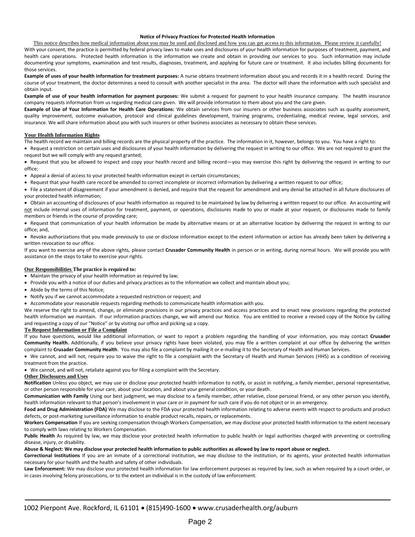#### **Notice of Privacy Practices for Protected Health Information**

This notice describes how medical information about you may be used and disclosed and how you can get access to this information. Please review it carefully!

With your consent, the practice is permitted by federal privacy laws to make uses and disclosures of your health information for purposes of treatment, payment, and health care operations. Protected health information is the information we create and obtain in providing our services to you. Such information may include documenting your symptoms, examination and test results, diagnoses, treatment, and applying for future care or treatment. It also includes billing documents for those services.

**Example of uses of your health information for treatment purposes:** A nurse obtains treatment information about you and records it in a health record. During the course of your treatment, the doctor determines a need to consult with another specialist in the area. The doctor will share the information with such specialist and obtain input.

**Example of use of your health information for payment purposes:** We submit a request for payment to your health insurance company. The health insurance company requests information from us regarding medical care given. We will provide information to them about you and the care given.

**Example of Use of Your Information for Health Care Operations:** We obtain services from our insurers or other business associates such as quality assessment, quality improvement, outcome evaluation, protocol and clinical guidelines development, training programs, credentialing, medical review, legal services, and insurance. We will share information about you with such insurers or other business associates as necessary to obtain these services.

#### **Your Health Information Rights**

The health record we maintain and billing records are the physical property of the practice. The information in it, however, belongs to you. You have a right to:

 Request a restriction on certain uses and disclosures of your health information by delivering the request in writing to our office. We are not required to grant the request but we will comply with any request granted;

 Request that you be allowed to inspect and copy your health record and billing record—you may exercise this right by delivering the request in writing to our office;

Appeal a denial of access to your protected health information except in certain circumstances;

• Request that your health care record be amended to correct incomplete or incorrect information by delivering a written request to our office;

 File a statement of disagreement if your amendment is denied, and require that the request for amendment and any denial be attached in all future disclosures of your protected health information;

 Obtain an accounting of disclosures of your health information as required to be maintained by law by delivering a written request to our office. An accounting will not include internal uses of information for treatment, payment, or operations, disclosures made to you or made at your request, or disclosures made to family members or friends in the course of providing care;

 Request that communication of your health information be made by alternative means or at an alternative location by delivering the request in writing to our office; and,

• Revoke authorizations that you made previously to use or disclose information except to the extent information or action has already been taken by delivering a written revocation to our office.

If you want to exercise any of the above rights, please contact **Crusader Community Health** in person or in writing, during normal hours. We will provide you with assistance on the steps to take to exercise your rights.

#### **Our Responsibilities The practice is required to:**

Maintain the privacy of your health information as required by law;

- Provide you with a notice of our duties and privacy practices as to the information we collect and maintain about you;
- Abide by the terms of this Notice;
- Notify you if we cannot accommodate a requested restriction or request; and
- Accommodate your reasonable requests regarding methods to communicate health information with you.

We reserve the right to amend, change, or eliminate provisions in our privacy practices and access practices and to enact new provisions regarding the protected health information we maintain. If our information practices change, we will amend our Notice. You are entitled to receive a revised copy of the Notice by calling and requesting a copy of our "Notice" or by visiting our office and picking up a copy.

#### **To Request Information or File a Complaint**

If you have questions, would like additional information, or want to report a problem regarding the handling of your information, you may contact **Crusader Community Health.** Additionally, if you believe your privacy rights have been violated, you may file a written complaint at our office by delivering the written complaint to **Crusader Community Health**. You may also file a complaint by mailing it or e-mailing it to the Secretary of Health and Human Services.

 We cannot, and will not, require you to waive the right to file a complaint with the Secretary of Health and Human Services (HHS) as a condition of receiving treatment from the practice.

We cannot, and will not, retaliate against you for filing a complaint with the Secretary.

#### **Other Disclosures and Uses**

**Notification** Unless you object, we may use or disclose your protected health information to notify, or assist in notifying, a family member, personal representative, or other person responsible for your care, about your location, and about your general condition, or your death.

**Communication with Family** Using our best judgment, we may disclose to a family member, other relative, close personal friend, or any other person you identify, health information relevant to that person's involvement in your care or in payment for such care if you do not object or in an emergency.

Food and Drug Administration (FDA) We may disclose to the FDA your protected health information relating to adverse events with respect to products and product defects, or post-marketing surveillance information to enable product recalls, repairs, or replacements.

**Workers Compensation** If you are seeking compensation through Workers Compensation, we may disclose your protected health information to the extent necessary to comply with laws relating to Workers Compensation.

**Public Health** As required by law, we may disclose your protected health information to public health or legal authorities charged with preventing or controlling disease, injury, or disability.

#### **Abuse & Neglect: We may disclose your protected health information to public authorities as allowed by law to report abuse or neglect.**

**Correctional Institutions** If you are an inmate of a correctional institution, we may disclose to the institution, or its agents, your protected health information necessary for your health and the health and safety of other individuals.

Law Enforcement: We may disclose your protected health information for law enforcement purposes as required by law, such as when required by a court order, or in cases involving felony prosecutions, or to the extent an individual is in the custody of law enforcement.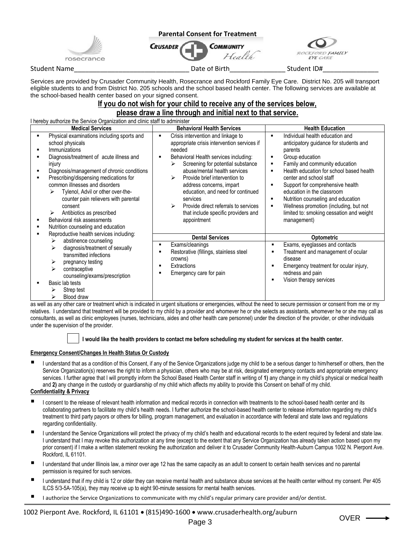

Services are provided by Crusader Community Health, Rosecrance and Rockford Family Eye Care. District No. 205 will transport eligible students to and from District No. 205 schools and the school based health center. The following services are available at the school-based health center based on your signed consent.

## **If you do not wish for your child to receive any of the services below, please draw a line through and initial next to that service.**

I hereby authorize the Service Organization and clinic staff to administer

| <b>Medical Services</b>                                                                                                                                                                                                                                                                                                                                                                                                                                                                                                                  | <b>Behavioral Health Services</b>                                                                                                                                                                                                                                                                                                                                                                                                                      | <b>Health Education</b>                                                                                                                                                                                                                                                                                                                                                                                                                         |
|------------------------------------------------------------------------------------------------------------------------------------------------------------------------------------------------------------------------------------------------------------------------------------------------------------------------------------------------------------------------------------------------------------------------------------------------------------------------------------------------------------------------------------------|--------------------------------------------------------------------------------------------------------------------------------------------------------------------------------------------------------------------------------------------------------------------------------------------------------------------------------------------------------------------------------------------------------------------------------------------------------|-------------------------------------------------------------------------------------------------------------------------------------------------------------------------------------------------------------------------------------------------------------------------------------------------------------------------------------------------------------------------------------------------------------------------------------------------|
| Physical examinations including sports and<br>٠<br>school physicals<br>Immunizations<br>$\blacksquare$<br>Diagnosis/treatment of acute illness and<br>٠<br>injury<br>Diagnosis/management of chronic conditions<br>٠<br>Prescribing/dispensing medications for<br>$\blacksquare$<br>common illnesses and disorders<br>Tylenol, Advil or other over-the-<br>⋗<br>counter pain relievers with parental<br>consent<br>Antibiotics as prescribed<br>⋗<br>Behavioral risk assessments<br>Nutrition counseling and education<br>$\blacksquare$ | Crisis intervention and linkage to<br>$\blacksquare$<br>appropriate crisis intervention services if<br>needed<br>Behavioral Health services including:<br>Screening for potential substance<br>⋗<br>abuse/mental health services<br>Provide brief intervention to<br>⋗<br>address concerns, impart<br>education, and need for continued<br>services<br>Provide direct referrals to services<br>↘<br>that include specific providers and<br>appointment | Individual health education and<br>anticipatory guidance for students and<br>parents<br>Group education<br>Family and community education<br>Health education for school based health<br>center and school staff<br>Support for comprehensive health<br>education in the classroom<br>Nutrition counseling and education<br>$\blacksquare$<br>Wellness promotion (including, but not<br>limited to: smoking cessation and weight<br>management) |
| Reproductive health services including:<br>abstinence counseling<br>diagnosis/treatment of sexually<br>⋗<br>transmitted infections<br>pregnancy testing<br>⋗<br>contraceptive<br>↘<br>counseling/exams/prescription<br>Basic lab tests<br>Strep test<br>Blood draw<br>⋗                                                                                                                                                                                                                                                                  | <b>Dental Services</b><br>Exams/cleanings<br>٠<br>Restorative (fillings, stainless steel<br>crowns)<br>Extractions<br>٠<br>Emergency care for pain                                                                                                                                                                                                                                                                                                     | <b>Optometric</b><br>Exams, eyeglasses and contacts<br>٠<br>Treatment and management of ocular<br>disease<br>Emergency treatment for ocular injury,<br>redness and pain<br>Vision therapy services                                                                                                                                                                                                                                              |

as well as any other care or treatment which is indicated in urgent situations or emergencies, without the need to secure permission or consent from me or my relatives. I understand that treatment will be provided to my child by a provider and whomever he or she selects as assistants, whomever he or she may call as consultants, as well as clinic employees (nurses, technicians, aides and other health care personnel) under the direction of the provider, or other individuals under the supervision of the provider.

## **I would like the health providers to contact me before scheduling my student for services at the health center.**

### **Emergency Consent/Changes In Health Status Or Custody**

I understand that as a condition of this Consent, if any of the Service Organizations judge my child to be a serious danger to him/herself or others, then the Service Organization(s) reserves the right to inform a physician, others who may be at risk, designated emergency contacts and appropriate emergency services. I further agree that I will promptly inform the School Based Health Center staff in writing of **1)** any change in my child's physical or medical health and **2)** any change in the custody or guardianship of my child which affects my ability to provide this Consent on behalf of my child.

## **Confidentiality & Privacy**

- I consent to the release of relevant health information and medical records in connection with treatments to the school-based health center and its collaborating partners to facilitate my child's health needs. I further authorize the school-based health center to release information regarding my child's treatment to third party payors or others for billing, program management, and evaluation in accordance with federal and state laws and regulations regarding confidentiality.
- I understand the Service Organizations will protect the privacy of my child's health and educational records to the extent required by federal and state law. I understand that I may revoke this authorization at any time (except to the extent that any Service Organization has already taken action based upon my prior consent) if I make a written statement revoking the authorization and deliver it to Crusader Community Health-Auburn Campus 1002 N. Pierpont Ave. Rockford, IL 61101.
- I understand that under Illinois law, a minor over age 12 has the same capacity as an adult to consent to certain health services and no parental permission is required for such services.
- I understand that if my child is 12 or older they can receive mental health and substance abuse services at the health center without my consent. Per 405 ILCS 5/3-5A-105(a), they may receive up to eight 90-minute sessions for mental health services.
- <sup>I</sup>authorize the Service Organizations to communicate with my child's regular primary care provider and/or dentist.

 $OVER$   $-$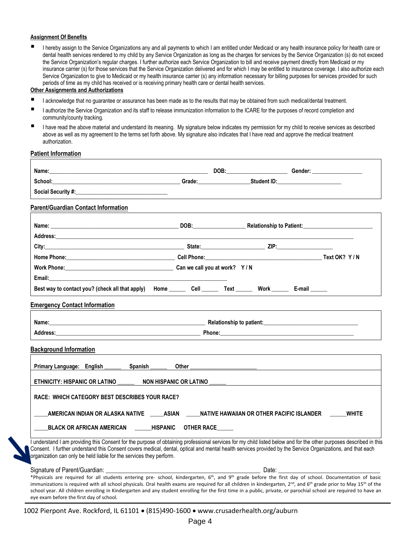## **Assignment Of Benefits**

 I hereby assign to the Service Organizations any and all payments to which I am entitled under Medicaid or any health insurance policy for health care or dental health services rendered to my child by any Service Organization as long as the charges for services by the Service Organization (s) do not exceed the Service Organization's regular charges. I further authorize each Service Organization to bill and receive payment directly from Medicaid or my insurance carrier (s) for those services that the Service Organization delivered and for which I may be entitled to insurance coverage. I also authorize each Service Organization to give to Medicaid or my health insurance carrier (s) any information necessary for billing purposes for services provided for such periods of time as my child has received or is receiving primary health care or dental health services.

#### **Other Assignments and Authorizations**

eye exam before the first day of school.

- I acknowledge that no guarantee or assurance has been made as to the results that may be obtained from such medical/dental treatment.
- I authorize the Service Organization and its staff to release immunization information to the ICARE for the purposes of record completion and community/county tracking.
- I have read the above material and understand its meaning. My signature below indicates my permission for my child to receive services as described above as well as my agreement to the terms set forth above. My signature also indicates that I have read and approve the medical treatment authorization.

### **Patient Information**

| Name: Communication Communication Communication Communication Communication Center:                                                                                                                                                                                                                                                                                                                                                                                                                                                                             |            |  |
|-----------------------------------------------------------------------------------------------------------------------------------------------------------------------------------------------------------------------------------------------------------------------------------------------------------------------------------------------------------------------------------------------------------------------------------------------------------------------------------------------------------------------------------------------------------------|------------|--|
| School: Change of Care and Care and Care and Care and Care and Care and Care and Care and Care and Care and Care and Care and Care and Care and Care and Care and Care and Care and Care and Care and Care and Care and Care a                                                                                                                                                                                                                                                                                                                                  |            |  |
|                                                                                                                                                                                                                                                                                                                                                                                                                                                                                                                                                                 |            |  |
| <b>Parent/Guardian Contact Information</b>                                                                                                                                                                                                                                                                                                                                                                                                                                                                                                                      |            |  |
| Name: 1990 Mame: 2008 Mame: 2008: 2008: 2008: Relationship to Patient:                                                                                                                                                                                                                                                                                                                                                                                                                                                                                          |            |  |
|                                                                                                                                                                                                                                                                                                                                                                                                                                                                                                                                                                 |            |  |
|                                                                                                                                                                                                                                                                                                                                                                                                                                                                                                                                                                 |            |  |
| Home Phone: Text OK? Y/N                                                                                                                                                                                                                                                                                                                                                                                                                                                                                                                                        |            |  |
|                                                                                                                                                                                                                                                                                                                                                                                                                                                                                                                                                                 |            |  |
|                                                                                                                                                                                                                                                                                                                                                                                                                                                                                                                                                                 |            |  |
| Best way to contact you? (check all that apply) Home _________ Cell _________ Text _________ Work ________ E-mail _______                                                                                                                                                                                                                                                                                                                                                                                                                                       |            |  |
| <b>Emergency Contact Information</b>                                                                                                                                                                                                                                                                                                                                                                                                                                                                                                                            |            |  |
|                                                                                                                                                                                                                                                                                                                                                                                                                                                                                                                                                                 |            |  |
|                                                                                                                                                                                                                                                                                                                                                                                                                                                                                                                                                                 |            |  |
| <b>Background Information</b>                                                                                                                                                                                                                                                                                                                                                                                                                                                                                                                                   |            |  |
| Primary Language: English _______ Spanish ______                                                                                                                                                                                                                                                                                                                                                                                                                                                                                                                |            |  |
| ETHNICITY: HISPANIC OR LATINO ________ NON HISPANIC OR LATINO ______                                                                                                                                                                                                                                                                                                                                                                                                                                                                                            |            |  |
| RACE: WHICH CATEGORY BEST DESCRIBES YOUR RACE?                                                                                                                                                                                                                                                                                                                                                                                                                                                                                                                  |            |  |
| _AMERICAN INDIAN OR ALASKA NATIVE  _____ASIAN _____NATIVE HAWAIIAN OR OTHER PACIFIC ISLANDER  ______WHITE                                                                                                                                                                                                                                                                                                                                                                                                                                                       |            |  |
| BLACK OR AFRICAN AMERICAN HISPANIC                                                                                                                                                                                                                                                                                                                                                                                                                                                                                                                              | OTHER RACE |  |
| I understand I am providing this Consent for the purpose of obtaining professional services for my child listed below and for the other purposes described in this<br>Consent. I further understand this Consent covers medical, dental, optical and mental health services provided by the Service Organizations, and that each<br>organization can only be held liable for the services they perform.                                                                                                                                                         |            |  |
|                                                                                                                                                                                                                                                                                                                                                                                                                                                                                                                                                                 |            |  |
| *Physicals are required for all students entering pre- school, kindergarten, 6 <sup>th</sup> , and 9 <sup>th</sup> grade before the first day of school. Documentation of basic<br>immunizations is required with all school physicals. Oral health exams are required for all children in kindergarten, 2 <sup>nd</sup> , and 6 <sup>th</sup> grade prior to May 15 <sup>th</sup> of the<br>school year. All children enrolling in Kindergarten and any student enrolling for the first time in a public, private, or parochial school are required to have an |            |  |

1002 Pierpont Ave. Rockford, IL 61101 (815)490-1600 www.crusaderhealth.org/auburn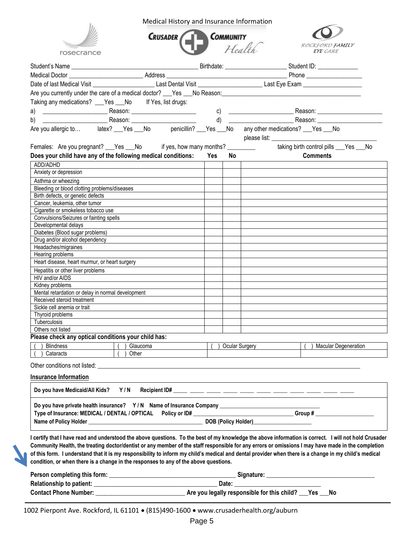

Medical History and Insurance Information





| Are you currently under the care of a medical doctor? ___Yes ___No Reason: _________________________                                                                                                                                                                                                                                                                                                                                                                                                                                                         |                                                                                                                      |     |                       |                                                                                                                                                                                                                               |                                           |
|--------------------------------------------------------------------------------------------------------------------------------------------------------------------------------------------------------------------------------------------------------------------------------------------------------------------------------------------------------------------------------------------------------------------------------------------------------------------------------------------------------------------------------------------------------------|----------------------------------------------------------------------------------------------------------------------|-----|-----------------------|-------------------------------------------------------------------------------------------------------------------------------------------------------------------------------------------------------------------------------|-------------------------------------------|
| Taking any medications? ___Yes ___No lf Yes, list drugs:                                                                                                                                                                                                                                                                                                                                                                                                                                                                                                     |                                                                                                                      |     |                       |                                                                                                                                                                                                                               |                                           |
|                                                                                                                                                                                                                                                                                                                                                                                                                                                                                                                                                              |                                                                                                                      |     |                       |                                                                                                                                                                                                                               |                                           |
| b)                                                                                                                                                                                                                                                                                                                                                                                                                                                                                                                                                           |                                                                                                                      |     |                       |                                                                                                                                                                                                                               |                                           |
| Are you allergic to latex? __ Yes __ No penicillin? __ Yes __ No any other medications? __ Yes __ No                                                                                                                                                                                                                                                                                                                                                                                                                                                         |                                                                                                                      |     |                       | please list: and the state of the state of the state of the state of the state of the state of the state of the state of the state of the state of the state of the state of the state of the state of the state of the state |                                           |
| Females: Are you pregnant? ___ Yes ___ No if yes, how many months? __________                                                                                                                                                                                                                                                                                                                                                                                                                                                                                |                                                                                                                      |     |                       |                                                                                                                                                                                                                               | taking birth control pills ___ Yes ___ No |
| Does your child have any of the following medical conditions:                                                                                                                                                                                                                                                                                                                                                                                                                                                                                                |                                                                                                                      | Yes | No                    |                                                                                                                                                                                                                               | <b>Comments</b>                           |
| ADD/ADHD                                                                                                                                                                                                                                                                                                                                                                                                                                                                                                                                                     |                                                                                                                      |     |                       |                                                                                                                                                                                                                               |                                           |
| Anxiety or depression                                                                                                                                                                                                                                                                                                                                                                                                                                                                                                                                        |                                                                                                                      |     |                       |                                                                                                                                                                                                                               |                                           |
| Asthma or wheezing                                                                                                                                                                                                                                                                                                                                                                                                                                                                                                                                           |                                                                                                                      |     |                       |                                                                                                                                                                                                                               |                                           |
| Bleeding or blood clotting problems/diseases                                                                                                                                                                                                                                                                                                                                                                                                                                                                                                                 |                                                                                                                      |     |                       |                                                                                                                                                                                                                               |                                           |
| Birth defects, or genetic defects                                                                                                                                                                                                                                                                                                                                                                                                                                                                                                                            |                                                                                                                      |     |                       |                                                                                                                                                                                                                               |                                           |
| Cancer, leukemia, other tumor                                                                                                                                                                                                                                                                                                                                                                                                                                                                                                                                |                                                                                                                      |     |                       |                                                                                                                                                                                                                               |                                           |
| Cigarette or smokeless tobacco use                                                                                                                                                                                                                                                                                                                                                                                                                                                                                                                           |                                                                                                                      |     |                       |                                                                                                                                                                                                                               |                                           |
| Convulsions/Seizures or fainting spells                                                                                                                                                                                                                                                                                                                                                                                                                                                                                                                      |                                                                                                                      |     |                       |                                                                                                                                                                                                                               |                                           |
| Developmental delays                                                                                                                                                                                                                                                                                                                                                                                                                                                                                                                                         |                                                                                                                      |     |                       |                                                                                                                                                                                                                               |                                           |
| Diabetes (Blood sugar problems)                                                                                                                                                                                                                                                                                                                                                                                                                                                                                                                              |                                                                                                                      |     |                       |                                                                                                                                                                                                                               |                                           |
| Drug and/or alcohol dependency                                                                                                                                                                                                                                                                                                                                                                                                                                                                                                                               |                                                                                                                      |     |                       |                                                                                                                                                                                                                               |                                           |
| Headaches/migraines                                                                                                                                                                                                                                                                                                                                                                                                                                                                                                                                          |                                                                                                                      |     |                       |                                                                                                                                                                                                                               |                                           |
| Hearing problems                                                                                                                                                                                                                                                                                                                                                                                                                                                                                                                                             |                                                                                                                      |     |                       |                                                                                                                                                                                                                               |                                           |
| Heart disease, heart murmur, or heart surgery                                                                                                                                                                                                                                                                                                                                                                                                                                                                                                                |                                                                                                                      |     |                       |                                                                                                                                                                                                                               |                                           |
| Hepatitis or other liver problems                                                                                                                                                                                                                                                                                                                                                                                                                                                                                                                            |                                                                                                                      |     |                       |                                                                                                                                                                                                                               |                                           |
| HIV and/or AIDS                                                                                                                                                                                                                                                                                                                                                                                                                                                                                                                                              |                                                                                                                      |     |                       |                                                                                                                                                                                                                               |                                           |
| Kidney problems                                                                                                                                                                                                                                                                                                                                                                                                                                                                                                                                              |                                                                                                                      |     |                       |                                                                                                                                                                                                                               |                                           |
| Mental retardation or delay in normal development                                                                                                                                                                                                                                                                                                                                                                                                                                                                                                            |                                                                                                                      |     |                       |                                                                                                                                                                                                                               |                                           |
| Received steroid treatment                                                                                                                                                                                                                                                                                                                                                                                                                                                                                                                                   |                                                                                                                      |     |                       |                                                                                                                                                                                                                               |                                           |
| Sickle cell anemia or trait                                                                                                                                                                                                                                                                                                                                                                                                                                                                                                                                  |                                                                                                                      |     |                       |                                                                                                                                                                                                                               |                                           |
| Thyroid problems<br>Tuberculosis                                                                                                                                                                                                                                                                                                                                                                                                                                                                                                                             |                                                                                                                      |     |                       |                                                                                                                                                                                                                               |                                           |
| Others not listed                                                                                                                                                                                                                                                                                                                                                                                                                                                                                                                                            |                                                                                                                      |     |                       |                                                                                                                                                                                                                               |                                           |
| Please check any optical conditions your child has:                                                                                                                                                                                                                                                                                                                                                                                                                                                                                                          |                                                                                                                      |     |                       |                                                                                                                                                                                                                               |                                           |
| <b>Blindness</b>                                                                                                                                                                                                                                                                                                                                                                                                                                                                                                                                             | Glaucoma                                                                                                             |     |                       |                                                                                                                                                                                                                               |                                           |
| Cataracts                                                                                                                                                                                                                                                                                                                                                                                                                                                                                                                                                    | Other                                                                                                                |     | <b>Ocular Surgery</b> |                                                                                                                                                                                                                               | Macular Degeneration                      |
|                                                                                                                                                                                                                                                                                                                                                                                                                                                                                                                                                              |                                                                                                                      |     |                       |                                                                                                                                                                                                                               |                                           |
| <b>Insurance Information</b>                                                                                                                                                                                                                                                                                                                                                                                                                                                                                                                                 |                                                                                                                      |     |                       |                                                                                                                                                                                                                               |                                           |
| Do you have Medicaid/All Kids?                                                                                                                                                                                                                                                                                                                                                                                                                                                                                                                               | Y/N                                                                                                                  |     |                       |                                                                                                                                                                                                                               |                                           |
|                                                                                                                                                                                                                                                                                                                                                                                                                                                                                                                                                              |                                                                                                                      |     |                       |                                                                                                                                                                                                                               |                                           |
| Do you have private health insurance? Y/N Name of Insurance Company _______________________________                                                                                                                                                                                                                                                                                                                                                                                                                                                          |                                                                                                                      |     |                       |                                                                                                                                                                                                                               |                                           |
|                                                                                                                                                                                                                                                                                                                                                                                                                                                                                                                                                              |                                                                                                                      |     |                       |                                                                                                                                                                                                                               |                                           |
|                                                                                                                                                                                                                                                                                                                                                                                                                                                                                                                                                              |                                                                                                                      |     |                       |                                                                                                                                                                                                                               |                                           |
| I certify that I have read and understood the above questions. To the best of my knowledge the above information is correct. I will not hold Crusader<br>Community Health, the treating doctor/dentist or any member of the staff responsible for any errors or omissions I may have made in the completion<br>of this form. I understand that it is my responsibility to inform my child's medical and dental provider when there is a change in my child's medical<br>condition, or when there is a change in the responses to any of the above questions. |                                                                                                                      |     |                       |                                                                                                                                                                                                                               |                                           |
|                                                                                                                                                                                                                                                                                                                                                                                                                                                                                                                                                              |                                                                                                                      |     |                       |                                                                                                                                                                                                                               |                                           |
| Relationship to patient:                                                                                                                                                                                                                                                                                                                                                                                                                                                                                                                                     | <u> 1989 - Jan James James James James James James James James James James James James James James James James J</u> |     | Date:                 | <u> 1989 - Andrea Andrew Maria (h. 1989).</u>                                                                                                                                                                                 |                                           |

**Contact Phone Number: \_\_\_\_\_\_\_\_\_\_\_\_\_\_\_\_\_\_\_\_\_\_\_\_\_\_\_\_\_ Are you legally responsible for this child? \_\_\_Yes \_\_\_No** 

1002 Pierpont Ave. Rockford, IL 61101 · (815)490-1600 · www.crusaderhealth.org/auburn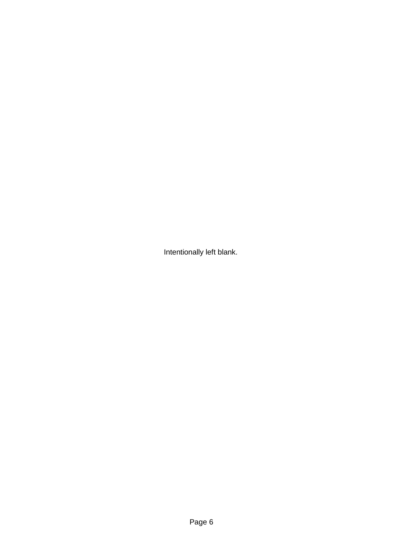Intentionally left blank.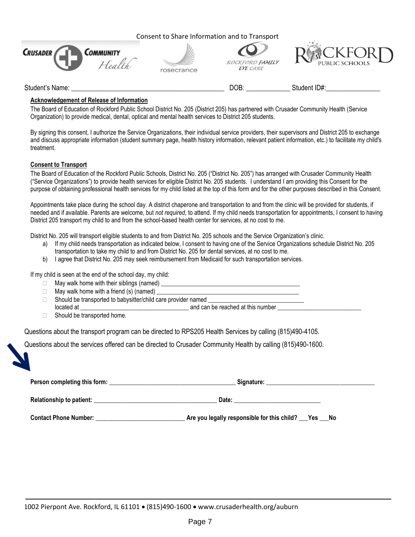Consent to Share Information and to Transport









Student's Name: \_\_\_\_\_\_\_\_\_\_\_\_\_\_\_\_\_\_\_\_\_\_\_\_\_\_\_\_\_\_\_\_\_\_\_\_\_\_\_\_\_\_\_\_\_ DOB: \_\_\_\_\_\_\_\_\_\_\_\_\_ Student ID#:\_\_\_\_\_\_\_\_\_\_\_\_\_\_\_\_

## **Acknowledgement of Release of Information**

The Board of Education of Rockford Public School District No. 205 (District 205) has partnered with Crusader Community Health (Service Organization) to provide medical, dental, optical and mental health services to District 205 students.

By signing this consent, I authorize the Service Organizations, their individual service providers, their supervisors and District 205 to exchange and discuss appropriate information (student summary page, health history information, relevant patient information, etc.) to facilitate my child's treatment.

## **Consent to Transport**

The Board of Education of the Rockford Public Schools, District No. 205 ("District No. 205") has arranged with Crusader Community Health ("Service Organizations") to provide health services for eligible District No. 205 students. I understand I am providing this Consent for the purpose of obtaining professional health services for my child listed at the top of this form and for the other purposes described in this Consent.

Appointments take place during the school day. A district chaperone and transportation to and from the clinic will be provided for students, if needed and if available. Parents are welcome, but *not required,* to attend. If my child needs transportation for appointments, I consent to having District 205 transport my child to and from the school-based health center for services, at no cost to me.

District No. 205 will transport eligible students to and from District No. 205 schools and the Service Organization's clinic.

- a) If my child needs transportation as indicated below, I consent to having one of the Service Organizations schedule District No. 205 transportation to take my child to and from District No. 205 for dental services, at no cost to me.
- b) I agree that District No. 205 may seek reimbursement from Medicaid for such transportation services.

If my child is seen at the end of the school day, my child:

- □ May walk home with their siblings (named) \_\_\_\_\_\_\_\_\_\_\_\_\_\_\_\_\_\_\_\_\_\_\_\_\_\_\_\_\_\_\_\_\_\_\_
- $\Box$  May walk home with a friend (s) (named)  $\Box$
- $\Box$  Should be transported to babysitter/child care provider named  $\Box$ located at \_\_\_\_\_\_\_\_\_\_\_\_\_\_\_\_\_\_\_\_\_\_\_\_\_\_\_\_\_\_\_\_\_\_\_ and can be reached at this number \_\_\_\_\_\_\_\_\_\_\_\_\_\_\_\_\_\_\_\_\_\_\_\_\_\_\_
- □ Should be transported home.

Questions about the transport program can be directed to RPS205 Health Services by calling (815)490-4105.

Questions about the services offered can be directed to Crusader Community Health by calling (815)490-1600.

| Person completing this form: | Signature:                                               |
|------------------------------|----------------------------------------------------------|
| Relationship to patient:     | Date:                                                    |
| <b>Contact Phone Number:</b> | Are you legally responsible for this child?<br>Yes<br>No |